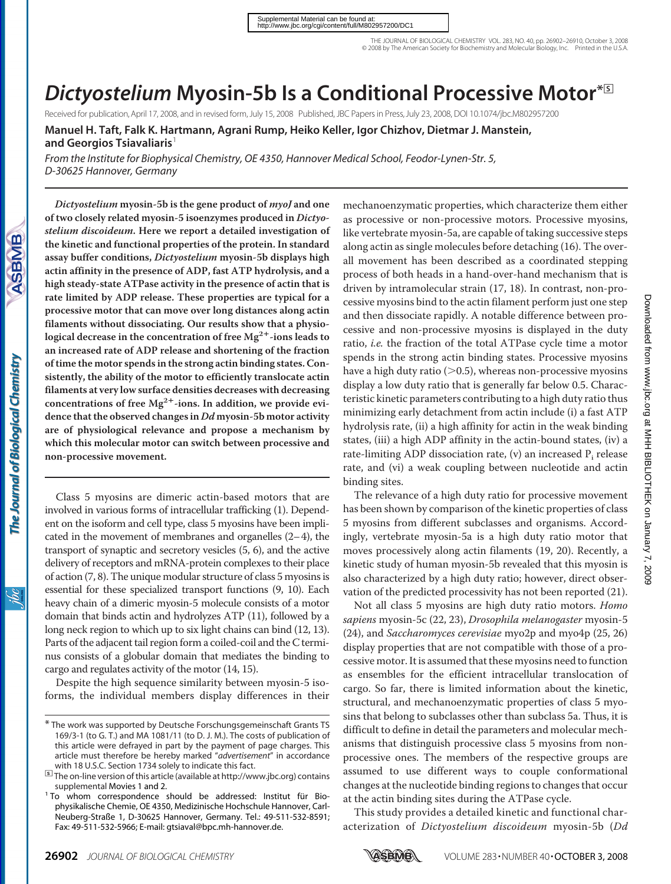THE JOURNAL OF BIOLOGICAL CHEMISTRY VOL. 283, NO. 40, pp. 26902–26910, October 3, 2008 © 2008 by The American Society for Biochemistry and Molecular Biology, Inc. Printed in the U.S.A.

# *Dictyostelium* Myosin-5b Is a Conditional Processive Motor<sup>\*⊠</sup>

Received for publication, April 17, 2008, and in revised form, July 15, 2008 Published, JBC Papers in Press, July 23, 2008, DOI 10.1074/jbc.M802957200

**Manuel H. Taft, Falk K. Hartmann, Agrani Rump, Heiko Keller, Igor Chizhov, Dietmar J. Manstein, and Georgios Tsiavaliaris**<sup>1</sup>

*From the Institute for Biophysical Chemistry, OE 4350, Hannover Medical School, Feodor-Lynen-Str. 5, D-30625 Hannover, Germany*

*Dictyostelium* **myosin-5b is the gene product of** *myoJ* **and one of two closely related myosin-5 isoenzymes produced in** *Dictyostelium discoideum***. Here we report a detailed investigation of the kinetic and functional properties of the protein. In standard assay buffer conditions,** *Dictyostelium* **myosin-5b displays high actin affinity in the presence of ADP, fast ATP hydrolysis, and a high steady-state ATPase activity in the presence of actin that is rate limited by ADP release. These properties are typical for a processive motor that can move over long distances along actin filaments without dissociating. Our results show that a physiological decrease in the concentration of free Mg2-ions leads to an increased rate of ADP release and shortening of the fraction of time the motor spends in the strong actin binding states. Consistently, the ability of the motor to efficiently translocate actin filaments at very low surface densities decreases with decreasing** concentrations of free Mg<sup>2+</sup>-ions. In addition, we provide evi**dence that the observed changes in** *Dd* **myosin-5b motor activity are of physiological relevance and propose a mechanism by which this molecular motor can switch between processive and non-processive movement.**

Class 5 myosins are dimeric actin-based motors that are involved in various forms of intracellular trafficking (1). Dependent on the isoform and cell type, class 5 myosins have been implicated in the movement of membranes and organelles (2–4), the transport of synaptic and secretory vesicles (5, 6), and the active delivery of receptors and mRNA-protein complexes to their place of action (7, 8). The unique modular structure of class 5 myosins is essential for these specialized transport functions (9, 10). Each heavy chain of a dimeric myosin-5 molecule consists of a motor domain that binds actin and hydrolyzes ATP (11), followed by a long neck region to which up to six light chains can bind (12, 13). Parts of the adjacent tail region form a coiled-coil and the C terminus consists of a globular domain that mediates the binding to cargo and regulates activity of the motor (14, 15).

Despite the high sequence similarity between myosin-5 isoforms, the individual members display differences in their mechanoenzymatic properties, which characterize them either as processive or non-processive motors. Processive myosins, like vertebrate myosin-5a, are capable of taking successive steps along actin as single molecules before detaching (16). The overall movement has been described as a coordinated stepping process of both heads in a hand-over-hand mechanism that is driven by intramolecular strain (17, 18). In contrast, non-processive myosins bind to the actin filament perform just one step and then dissociate rapidly. A notable difference between processive and non-processive myosins is displayed in the duty ratio, *i.e.* the fraction of the total ATPase cycle time a motor spends in the strong actin binding states. Processive myosins have a high duty ratio  $(0.5)$ , whereas non-processive myosins display a low duty ratio that is generally far below 0.5. Characteristic kinetic parameters contributing to a high duty ratio thus minimizing early detachment from actin include (i) a fast ATP hydrolysis rate, (ii) a high affinity for actin in the weak binding states, (iii) a high ADP affinity in the actin-bound states, (iv) a rate-limiting ADP dissociation rate,  $(v)$  an increased  $P_i$  release rate, and (vi) a weak coupling between nucleotide and actin binding sites.

The relevance of a high duty ratio for processive movement has been shown by comparison of the kinetic properties of class 5 myosins from different subclasses and organisms. Accordingly, vertebrate myosin-5a is a high duty ratio motor that moves processively along actin filaments (19, 20). Recently, a kinetic study of human myosin-5b revealed that this myosin is also characterized by a high duty ratio; however, direct observation of the predicted processivity has not been reported (21).

Not all class 5 myosins are high duty ratio motors. *Homo sapiens* myosin-5c (22, 23), *Drosophila melanogaster* myosin-5 (24), and *Saccharomyces cerevisiae* myo2p and myo4p (25, 26) display properties that are not compatible with those of a processive motor. It is assumed that these myosins need to function as ensembles for the efficient intracellular translocation of cargo. So far, there is limited information about the kinetic, structural, and mechanoenzymatic properties of class 5 myosins that belong to subclasses other than subclass 5a. Thus, it is difficult to define in detail the parameters and molecular mechanisms that distinguish processive class 5 myosins from nonprocessive ones. The members of the respective groups are assumed to use different ways to couple conformational changes at the nucleotide binding regions to changes that occur at the actin binding sites during the ATPase cycle.

This study provides a detailed kinetic and functional characterization of *Dictyostelium discoideum* myosin-5b (*Dd*



<sup>\*</sup> The work was supported by Deutsche Forschungsgemeinschaft Grants TS 169/3-1 (to G. T.) and MA 1081/11 (to D. J. M.). The costs of publication of this article were defrayed in part by the payment of page charges. This article must therefore be hereby marked "*advertisement*" in accordance

with 18 U.S.C. Section 1734 solely to indicate this fact.<br><sup>**⊡** The on-line version of this article (available at http://www.jbc.org) contains</sup> [supplemental](http://www.jbc.org/cgi/content/full/M802957200/DC1) Movies 1 and 2.<br><sup>1</sup> To whom correspondence should be addressed: Institut für Bio-

physikalische Chemie, OE 4350, Medizinische Hochschule Hannover, Carl-Neuberg-Straße 1, D-30625 Hannover, Germany. Tel.: 49-511-532-8591; Fax: 49-511-532-5966; E-mail: gtsiaval@bpc.mh-hannover.de.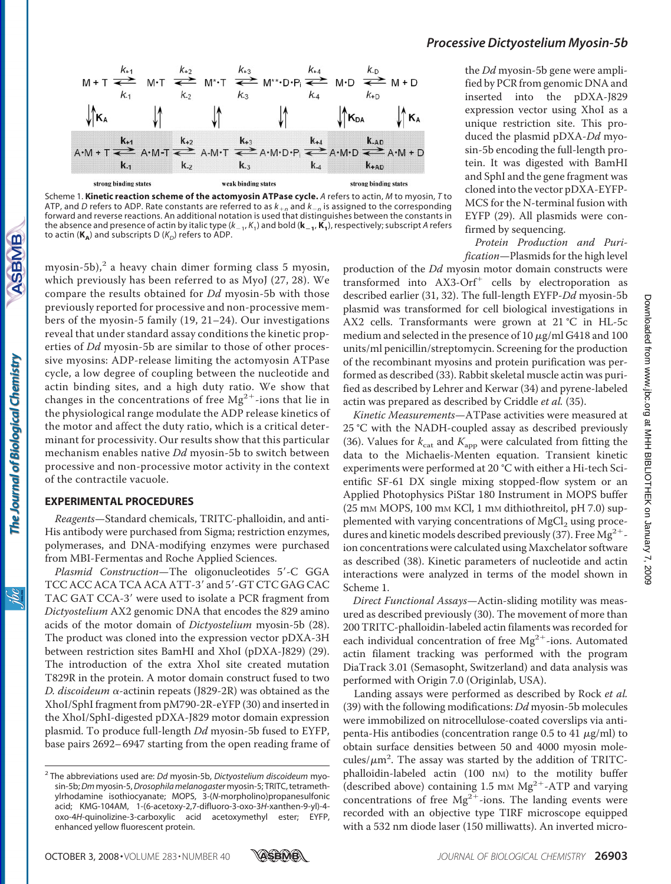

Scheme 1. **Kinetic reaction scheme of the actomyosin ATPase cycle.** *A* refers to actin, *M* to myosin, *T* to ATP, and *D* refers to ADP. Rate constants are referred to as  $k_{+n}$  and  $k_{-n}$  is assigned to the corresponding<br>forward and reverse reactions. An additional notation is used that distinguishes between the constants in the absence and presence of actin by italic type  $(k_{-1}, K_1)$  and bold  $(k_{-1}, K_1)$ , respectively; subscript A refers to actin ( $K_A$ ) and subscripts D ( $K_D$ ) refers to ADP.

myosin-5b), $^2$  a heavy chain dimer forming class 5 myosin, which previously has been referred to as MyoJ (27, 28). We compare the results obtained for *Dd* myosin-5b with those previously reported for processive and non-processive members of the myosin-5 family (19, 21–24). Our investigations reveal that under standard assay conditions the kinetic properties of *Dd* myosin-5b are similar to those of other processive myosins: ADP-release limiting the actomyosin ATPase cycle, a low degree of coupling between the nucleotide and actin binding sites, and a high duty ratio. We show that changes in the concentrations of free  $Mg^{2+}$ -ions that lie in the physiological range modulate the ADP release kinetics of the motor and affect the duty ratio, which is a critical determinant for processivity. Our results show that this particular mechanism enables native *Dd* myosin-5b to switch between processive and non-processive motor activity in the context of the contractile vacuole.

### **EXPERIMENTAL PROCEDURES**

*Reagents*—Standard chemicals, TRITC-phalloidin, and anti-His antibody were purchased from Sigma; restriction enzymes, polymerases, and DNA-modifying enzymes were purchased from MBI-Fermentas and Roche Applied Sciences.

Plasmid Construction-The oligonucleotides 5'-C GGA TCC ACC ACA TCA ACA ATT-3' and 5'-GT CTC GAG CAC TAC GAT CCA-3' were used to isolate a PCR fragment from *Dictyostelium* AX2 genomic DNA that encodes the 829 amino acids of the motor domain of *Dictyostelium* myosin-5b (28). The product was cloned into the expression vector pDXA-3H between restriction sites BamHI and XhoI (pDXA-J829) (29). The introduction of the extra XhoI site created mutation T829R in the protein. A motor domain construct fused to two  $D.$  *discoideum*  $\alpha$ -actinin repeats (J829-2R) was obtained as the XhoI/SphI fragment from pM790-2R-eYFP (30) and inserted in the XhoI/SphI-digested pDXA-J829 motor domain expression plasmid. To produce full-length *Dd* myosin-5b fused to EYFP, base pairs 2692– 6947 starting from the open reading frame of

### *Processive Dictyostelium Myosin-5b*

the *Dd* myosin-5b gene were amplified by PCR from genomic DNA and inserted into the pDXA-J829 expression vector using XhoI as a unique restriction site. This produced the plasmid pDXA-*Dd* myosin-5b encoding the full-length protein. It was digested with BamHI and SphI and the gene fragment was cloned into the vector pDXA-EYFP-MCS for the N-terminal fusion with EYFP (29). All plasmids were confirmed by sequencing.

*Protein Production and Purification*—Plasmids for the high level

production of the *Dd* myosin motor domain constructs were transformed into AX3-Orf<sup>+</sup> cells by electroporation as described earlier (31, 32). The full-length EYFP-*Dd* myosin-5b plasmid was transformed for cell biological investigations in AX2 cells. Transformants were grown at 21 °C in HL-5c medium and selected in the presence of 10  $\mu$ g/ml G418 and 100 units/ml penicillin/streptomycin. Screening for the production of the recombinant myosins and protein purification was performed as described (33). Rabbit skeletal muscle actin was purified as described by Lehrer and Kerwar (34) and pyrene-labeled actin was prepared as described by Criddle *et al.* (35).

*Kinetic Measurements*—ATPase activities were measured at 25 °C with the NADH-coupled assay as described previously (36). Values for  $k_{\text{cat}}$  and  $K_{\text{app}}$  were calculated from fitting the data to the Michaelis-Menten equation. Transient kinetic experiments were performed at 20 °C with either a Hi-tech Scientific SF-61 DX single mixing stopped-flow system or an Applied Photophysics PiStar 180 Instrument in MOPS buffer (25 mm MOPS, 100 mm KCl, 1 mm dithiothreitol, pH 7.0) supplemented with varying concentrations of MgCl<sub>2</sub> using procedures and kinetic models described previously (37). Free Mg<sup>2+</sup>ion concentrations were calculated using Maxchelator software as described (38). Kinetic parameters of nucleotide and actin interactions were analyzed in terms of the model shown in Scheme 1.

*Direct Functional Assays*—Actin-sliding motility was measured as described previously (30). The movement of more than 200 TRITC-phalloidin-labeled actin filaments was recorded for each individual concentration of free  $Mg^{2+}$ -ions. Automated actin filament tracking was performed with the program DiaTrack 3.01 (Semasopht, Switzerland) and data analysis was performed with Origin 7.0 (Originlab, USA).

Landing assays were performed as described by Rock *et al.* (39) with the following modifications: *Dd* myosin-5b molecules were immobilized on nitrocellulose-coated coverslips via antipenta-His antibodies (concentration range 0.5 to 41  $\mu$ g/ml) to obtain surface densities between 50 and 4000 myosin molecules/ $\mu$ m<sup>2</sup>. The assay was started by the addition of TRITCphalloidin-labeled actin (100 nm) to the motility buffer (described above) containing 1.5 mm  $Mg^{2+}$ -ATP and varying concentrations of free  $Mg^{2+}$ -ions. The landing events were recorded with an objective type TIRF microscope equipped with a 532 nm diode laser (150 milliwatts). An inverted micro-



<sup>2</sup> The abbreviations used are: *Dd* myosin-5b, *Dictyostelium discoideum* myosin-5b;*Dm* myosin-5,*Drosophila melanogaster* myosin-5; TRITC, tetramethylrhodamine isothiocyanate; MOPS, 3-(*N*-morpholino)propanesulfonic acid; KMG-104AM, 1-(6-acetoxy-2,7-difluoro-3-oxo-3*H*-xanthen-9-yl)-4 oxo-4*H*-quinolizine-3-carboxylic acid acetoxymethyl ester; EYFP, enhanced yellow fluorescent protein.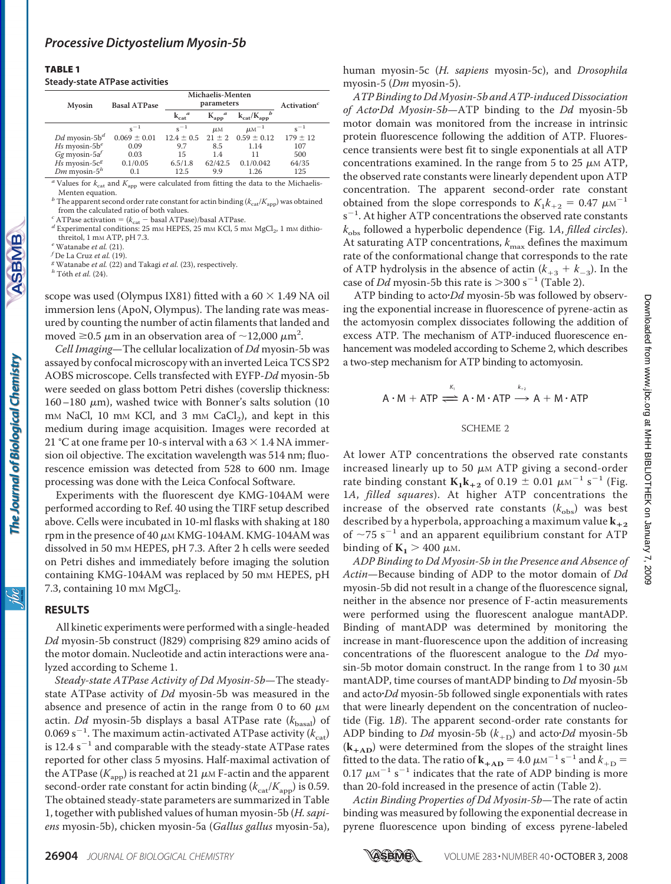#### TABLE 1

#### **Steady-state ATPase activities**

| Myosin                      | <b>Basal ATPase</b> | Michaelis-Menten<br>parameters   | Activation <sup><math>c</math></sup> |                            |              |  |
|-----------------------------|---------------------|----------------------------------|--------------------------------------|----------------------------|--------------|--|
|                             |                     | $k_{\text{cat}}^{\phantom{aa}a}$ | $K_{app}$                            | $k_{cat}/K_{app}^b$        |              |  |
|                             | $s^{-1}$            | $s^{-1}$                         | $\mu$ <sub>M</sub>                   | $\mu$ <sub>M</sub> $^{-1}$ | $s^{-1}$     |  |
| $Dd$ myosin-5b <sup>d</sup> | $0.069 \pm 0.01$    | $12.4 \pm 0.5$                   | $21 \pm 2$                           | $0.59 \pm 0.12$            | $179 \pm 12$ |  |
| Hs myosin- $5b^e$           | 0.09                | 9.7                              | 8.5                                  | 1.14                       | 107          |  |
| $Gg$ myosin-5a $'$          | 0.03                | 15                               | 1.4                                  | 11                         | 500          |  |
| Hs myosin- $5cg$            | 0.1/0.05            | 6.5/1.8                          | 62/42.5                              | 0.1/0.042                  | 64/35        |  |
| Dm myosin- $5^h$            | 0.1                 | 12.5                             | 9.9                                  | 1.26                       | 125          |  |

 $^a$  Values for  $k_{\rm cat}$  and  $K_{\rm app}$  were calculated from fitting the data to the Michaelis-Menten equation.

 $^b$  The apparent second order rate constant for actin binding ( $k_{\rm cat}/K_{\rm app}$ ) was obtained from the calculated ratio of both values.

 $c$ ATPase activation =  $(k_{\text{cat}} - \text{basal ATPase})/ \text{basal ATPase}$ .  $d$  Experimental conditions: 25 mM HEPES, 25 mM KCl, 5 mM MgCl<sub>2</sub>, 1 mM dithiothreitol, 1 mM ATP, pH 7.3. *<sup>e</sup>* Watanabe *et al.* (21). *<sup>f</sup>*

**ASBMB** 

The Journal of Biological Chemistry

De La Cruz *et al.* (19). *<sup>g</sup>* Watanabe *et al.* (22) and Takagi *et al.* (23), respectively. *<sup>h</sup>* Tóth *et al.* (24).

scope was used (Olympus IX81) fitted with a  $60 \times 1.49$  NA oil immersion lens (ApoN, Olympus). The landing rate was measured by counting the number of actin filaments that landed and moved  $\geq$  0.5  $\mu$ m in an observation area of  $\sim$  12,000  $\mu$ m<sup>2</sup>.

*Cell Imaging*—The cellular localization of *Dd* myosin-5b was assayed by confocal microscopy with an inverted Leica TCS SP2 AOBS microscope. Cells transfected with EYFP-*Dd* myosin-5b were seeded on glass bottom Petri dishes (coverslip thickness:  $160 - 180 \mu m$ ), washed twice with Bonner's salts solution (10  $m$ M NaCl, 10 mM KCl, and 3 mM CaCl<sub>2</sub>), and kept in this medium during image acquisition. Images were recorded at 21 °C at one frame per 10-s interval with a  $63 \times 1.4$  NA immersion oil objective. The excitation wavelength was 514 nm; fluorescence emission was detected from 528 to 600 nm. Image processing was done with the Leica Confocal Software.

Experiments with the fluorescent dye KMG-104AM were performed according to Ref. 40 using the TIRF setup described above. Cells were incubated in 10-ml flasks with shaking at 180 rpm in the presence of 40  $\mu$ m KMG-104AM. KMG-104AM was dissolved in 50 mM HEPES, pH 7.3. After 2 h cells were seeded on Petri dishes and immediately before imaging the solution containing KMG-104AM was replaced by 50 mm HEPES, pH 7.3, containing  $10 \text{ mm } \text{MgCl}_2$ .

#### **RESULTS**

All kinetic experiments were performed with a single-headed *Dd* myosin-5b construct (J829) comprising 829 amino acids of the motor domain. Nucleotide and actin interactions were analyzed according to Scheme 1.

*Steady-state ATPase Activity of Dd Myosin-5b*—The steadystate ATPase activity of *Dd* myosin-5b was measured in the absence and presence of actin in the range from 0 to 60  $\mu$ M actin. *Dd* myosin-5b displays a basal ATPase rate  $(k_{\text{basal}})$  of  $0.069$  s<sup>-1</sup>. The maximum actin-activated ATPase activity ( $k_{\text{cat}}$ ) is 12.4  $s^{-1}$  and comparable with the steady-state ATPase rates reported for other class 5 myosins. Half-maximal activation of the ATPase  $(K_{\mathrm{app}})$  is reached at 21  $\mu$ m F-actin and the apparent second-order rate constant for actin binding  $(k_{\text{cat}}/K_{\text{app}})$  is 0.59. The obtained steady-state parameters are summarized in Table 1, together with published values of human myosin-5b (*H. sapiens* myosin-5b), chicken myosin-5a (*Gallus gallus* myosin-5a),

human myosin-5c (*H. sapiens* myosin-5c), and *Drosophila* myosin-5 (*Dm* myosin-5).

*ATP Binding to Dd Myosin-5b and ATP-induced Dissociation of Acto*-*Dd Myosin-5b*—ATP binding to the *Dd* myosin-5b motor domain was monitored from the increase in intrinsic protein fluorescence following the addition of ATP. Fluorescence transients were best fit to single exponentials at all ATP concentrations examined. In the range from  $5$  to  $25 \mu M$  ATP, the observed rate constants were linearly dependent upon ATP concentration. The apparent second-order rate constant obtained from the slope corresponds to  $K_1 k_{+2} = 0.47 \mu M^{-1}$ s<sup>-1</sup>. At higher ATP concentrations the observed rate constants *k*obs followed a hyperbolic dependence (Fig. 1*A*, *filled circles*). At saturating ATP concentrations,  $k_{\text{max}}$  defines the maximum rate of the conformational change that corresponds to the rate of ATP hydrolysis in the absence of actin  $(k_{+3} + k_{-3})$ . In the case of *Dd* myosin-5b this rate is  $>$  300 s<sup>-1</sup> (Table 2).

ATP binding to acto*Dd* myosin-5b was followed by observing the exponential increase in fluorescence of pyrene-actin as the actomyosin complex dissociates following the addition of excess ATP. The mechanism of ATP-induced fluorescence enhancement was modeled according to Scheme 2, which describes a two-step mechanism for ATP binding to actomyosin.

$$
A \cdot M + ATP \stackrel{\kappa_1}{\Longleftarrow} A \cdot M \cdot ATP \stackrel{k_{+2}}{\longrightarrow} A +M \cdot ATP
$$

SCHEME 2

At lower ATP concentrations the observed rate constants increased linearly up to 50  $\mu$ m ATP giving a second-order rate binding constant  $K_1k_{+2}$  of 0.19  $\pm$  0.01  $\mu$ <sub>M</sub><sup>-1</sup> s<sup>-1</sup> (Fig. 1*A*, *filled squares*). At higher ATP concentrations the increase of the observed rate constants  $(k_{obs})$  was best described by a hyperbola, approaching a maximum value  $\mathbf{k}_{+2}$ of  $\sim$ 75 s<sup>-1</sup> and an apparent equilibrium constant for ATP binding of  $K_1 > 400 \mu$ <sub>M</sub>.

*ADP Binding to Dd Myosin-5b in the Presence and Absence of Actin*—Because binding of ADP to the motor domain of *Dd* myosin-5b did not result in a change of the fluorescence signal, neither in the absence nor presence of F-actin measurements were performed using the fluorescent analogue mantADP. Binding of mantADP was determined by monitoring the increase in mant-fluorescence upon the addition of increasing concentrations of the fluorescent analogue to the *Dd* myosin-5b motor domain construct. In the range from 1 to 30  $\mu$ M mantADP, time courses of mantADP binding to *Dd* myosin-5b and acto-*Dd* myosin-5b followed single exponentials with rates that were linearly dependent on the concentration of nucleotide (Fig. 1*B*). The apparent second-order rate constants for ADP binding to *Dd* myosin-5b ( $k_{\text{+D}}$ ) and acto *Dd* myosin-5b  $(k_{+AD})$  were determined from the slopes of the straight lines fitted to the data. The ratio of  ${\bf k}_{+AD} = 4.0 \ \mu \text{m}^{-1} \text{ s}^{-1}$  and  $k_{+D} =$ 0.17  $\mu$ M<sup>-1</sup> s<sup>-1</sup> indicates that the rate of ADP binding is more than 20-fold increased in the presence of actin (Table 2).

*Actin Binding Properties of Dd Myosin-5b*—The rate of actin binding was measured by following the exponential decrease in pyrene fluorescence upon binding of excess pyrene-labeled

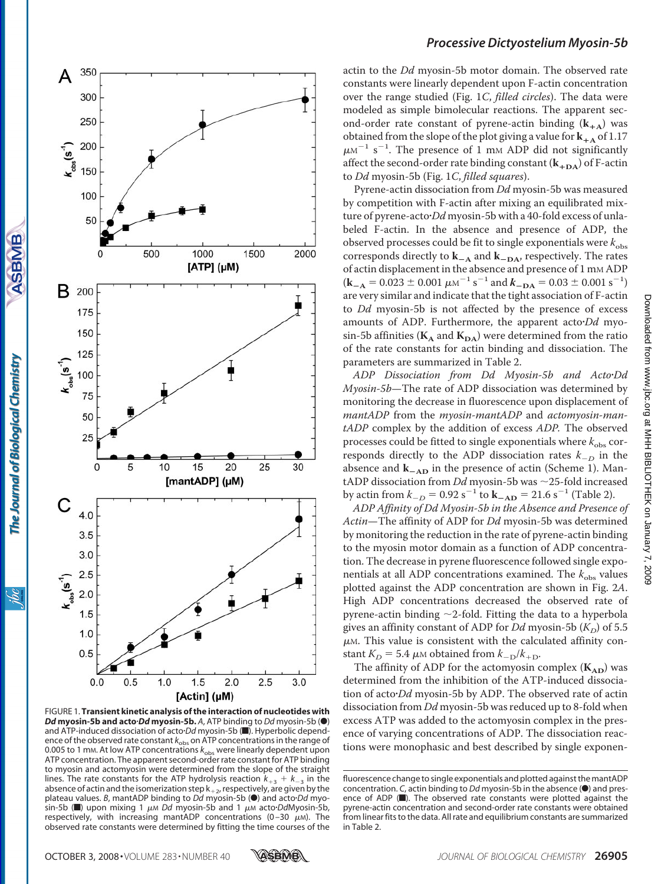

FIGURE 1. **Transient kinetic analysis of the interaction of nucleotides with** *Dd* **myosin-5b and acto**-*Dd* **myosin-5b.** *A*, ATP binding to *Dd* myosin-5b (F) and ATP-induced dissociation of acto *Dd* myosin-5b (. Hyperbolic dependence of the observed rate constant  $k_{obs}$  on ATP concentrations in the range of 0.005 to 1 mm. At low ATP concentrations  $k_{obs}$  were linearly dependent upon ATP concentration. The apparent second-order rate constant for ATP binding to myosin and actomyosin were determined from the slope of the straight lines. The rate constants for the ATP hydrolysis reaction  $k_{+3} + k_{-3}$  in the absence of actin and the isomerization step  $\mathsf{k}_{\pm 2}$ , respectively, are given by the plateau values. *B*, mantADP binding to *Dd* myosin-5b (<sup>•</sup>) and acto *Dd* myosin-5b (**I**) upon mixing 1  $\mu$ m *Dd* myosin-5b and 1  $\mu$ m acto-*Dd*Myosin-5b, respectively, with increasing mantADP concentrations (0-30  $\mu$ m). The observed rate constants were determined by fitting the time courses of the

actin to the *Dd* myosin-5b motor domain. The observed rate constants were linearly dependent upon F-actin concentration over the range studied (Fig. 1*C*, *filled circles*). The data were modeled as simple bimolecular reactions. The apparent second-order rate constant of pyrene-actin binding  $(k_{+A})$  was obtained from the slope of the plot giving a value for  $\mathbf{k}_{+A}$  of 1.17  $\mu$ M<sup>-1</sup> s<sup>-1</sup>. The presence of 1 mM ADP did not significantly affect the second-order rate binding constant  $(k_{+DA})$  of F-actin to *Dd* myosin-5b (Fig. 1*C*, *filled squares*).

Pyrene-actin dissociation from *Dd* myosin-5b was measured by competition with F-actin after mixing an equilibrated mixture of pyrene-acto-*Dd* myosin-5b with a 40-fold excess of unlabeled F-actin. In the absence and presence of ADP, the observed processes could be fit to single exponentials were  $k_{obs}$ corresponds directly to  $\mathbf{k}_{-\mathbf{A}}$  and  $\mathbf{k}_{-\mathbf{DA}}$ , respectively. The rates of actin displacement in the absence and presence of 1 mm ADP  $(\mathbf{k}_{\mathbf{-A}} = 0.023 \pm 0.001 \ \mu \text{m}^{-1} \text{ s}^{-1}$  and  $\mathbf{k}_{\mathbf{-DA}} = 0.03 \pm 0.001 \text{ s}^{-1})$ are very similar and indicate that the tight association of F-actin to *Dd* myosin-5b is not affected by the presence of excess amounts of ADP. Furthermore, the apparent acto*Dd* myosin-5b affinities ( $K_A$  and  $K_{DA}$ ) were determined from the ratio of the rate constants for actin binding and dissociation. The parameters are summarized in Table 2.

*ADP Dissociation from Dd Myosin-5b and Acto*-*Dd Myosin-5b*—The rate of ADP dissociation was determined by monitoring the decrease in fluorescence upon displacement of *mantADP* from the *myosin-mantADP* and *actomyosin-mantADP* complex by the addition of excess *ADP.* The observed processes could be fitted to single exponentials where  $k_{\rm obs}$  corresponds directly to the ADP dissociation rates  $k_{-D}$  in the absence and **k**-**AD** in the presence of actin (Scheme 1). MantADP dissociation from  $Dd$  myosin-5b was  $\sim$ 25-fold increased by actin from  $k_{-D} = 0.92 \text{ s}^{-1}$  to  $\mathbf{k}_{-\mathbf{AD}} = 21.6 \text{ s}^{-1}$  (Table 2).

*ADP Affinity of Dd Myosin-5b in the Absence and Presence of Actin*—The affinity of ADP for *Dd* myosin-5b was determined by monitoring the reduction in the rate of pyrene-actin binding to the myosin motor domain as a function of ADP concentration. The decrease in pyrene fluorescence followed single exponentials at all ADP concentrations examined. The  $k_{obs}$  values plotted against the ADP concentration are shown in Fig. 2*A*. High ADP concentrations decreased the observed rate of pyrene-actin binding  $\sim$ 2-fold. Fitting the data to a hyperbola gives an affinity constant of ADP for *Dd* myosin-5b  $(K_D)$  of 5.5  $\mu$ м. This value is consistent with the calculated affinity constant  $K_D = 5.4 \mu$ M obtained from  $k_{-D}/k_{+D}$ .

The affinity of ADP for the actomyosin complex  $(K_{AD})$  was determined from the inhibition of the ATP-induced dissociation of acto-*Dd* myosin-5b by ADP. The observed rate of actin dissociation from *Dd* myosin-5b was reduced up to 8-fold when excess ATP was added to the actomyosin complex in the presence of varying concentrations of ADP. The dissociation reactions were monophasic and best described by single exponen-



fluorescence change to single exponentials and plotted against the mantADP concentration. *C*, actin binding to *Dd* myosin-5b in the absence ( $\bullet$ ) and presence of ADP ( $\blacksquare$ ). The observed rate constants were plotted against the pyrene-actin concentration and second-order rate constants were obtained from linear fits to the data. All rate and equilibrium constants are summarized in Table 2.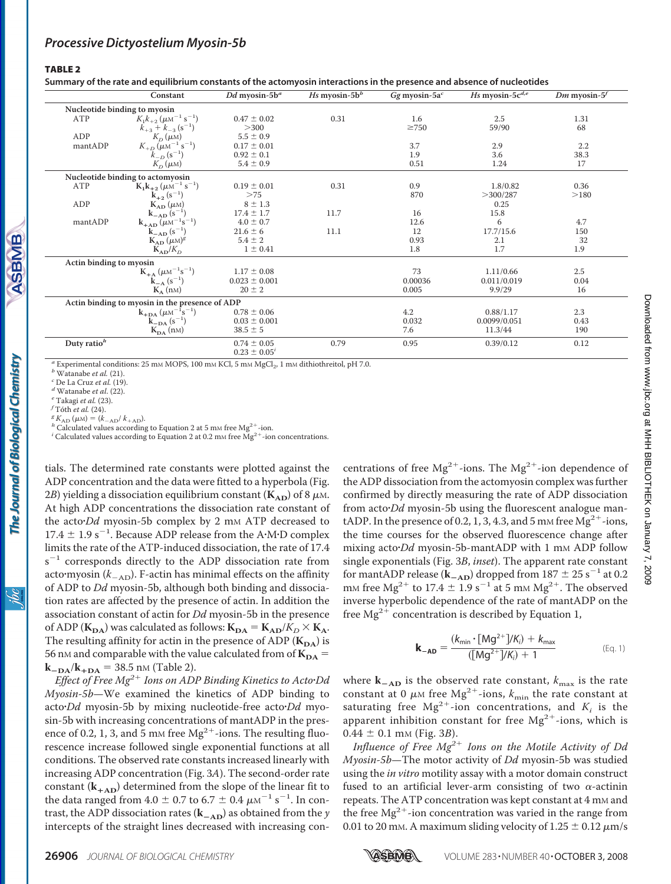#### TABLE 2

**Summary of the rate and equilibrium constants of the actomyosin interactions in the presence and absence of nucleotides**

|                              | Constant                                             | Dd myosin-5 $b^a$                    | Hs myosin-5 $b^b$ | $Gg$ myosin-5a $^c$ | Hs myosin- $5c^{d,e}$ | $Dm$ myosin- $5^f$ |
|------------------------------|------------------------------------------------------|--------------------------------------|-------------------|---------------------|-----------------------|--------------------|
| Nucleotide binding to myosin |                                                      |                                      |                   |                     |                       |                    |
| ATP                          | $K_1k_{+2}(\mu\text{M}^{-1}\text{ s}^{-1})$          | $0.47 \pm 0.02$                      | 0.31              | 1.6                 | 2.5                   | 1.31               |
|                              | $k_{+3} + k_{-3}$ (s <sup>-1</sup> )                 | >300                                 |                   | $\geq$ 750          | 59/90                 | 68                 |
| ADP                          | $K_D(\mu M)$<br>$K_{+D}(\mu M^{-1} s^{-1})$          | $5.5 \pm 0.9$                        |                   |                     |                       |                    |
| mantADP                      |                                                      | $0.17 \pm 0.01$                      |                   | 3.7                 | 2.9                   | 2.2                |
|                              | $k_{-D}$ (s <sup>-1</sup> )                          | $0.92 \pm 0.1$                       |                   | 1.9                 | 3.6                   | 38.3               |
|                              | $K_D(\mu M)$                                         | $5.4 \pm 0.9$                        |                   | 0.51                | 1.24                  | 17                 |
|                              | Nucleotide binding to actomyosin                     |                                      |                   |                     |                       |                    |
| ATP                          | $K_1k_{+2}(\mu M^{-1} s^{-1})$                       | $0.19 \pm 0.01$                      | 0.31              | 0.9                 | 1.8/0.82              | 0.36               |
|                              | $k_{+2}(s^{-1})$                                     | >75                                  |                   | 870                 | $>$ 300/287           | >180               |
| ADP                          | $K_{AD} (\mu M)$<br>$K_{-AD} (s^{-1})$               | $8 \pm 1.3$                          |                   |                     | 0.25                  |                    |
|                              |                                                      | $17.4 \pm 1.7$                       | 11.7              | 16                  | 15.8                  |                    |
| mantADP                      | $k_{+AD}(\mu M^{-1}s^{-1})$                          | $4.0 \pm 0.7$                        |                   | 12.6                | 6                     | 4.7                |
|                              | $k_{-AD}(s^{-1})$                                    | $21.6 \pm 6$                         | 11.1              | 12                  | 17.7/15.6             | 150                |
|                              | $K_{AD}$ $(\mu M)^g$                                 | $5.4 \pm 2$                          |                   | 0.93                | 2.1                   | 32                 |
|                              | $K_{AD}/K_D$                                         | $1 \pm 0.41$                         |                   | 1.8                 | 1.7                   | 1.9                |
| Actin binding to myosin      |                                                      |                                      |                   |                     |                       |                    |
|                              | $K_{+A}$ $(\mu \text{M}^{-1} \text{s}^{-1})$         | $1.17 \pm 0.08$                      |                   | 73                  | 1.11/0.66             | 2.5                |
|                              | $k_{-A}(s^{-1})$                                     | $0.023 \pm 0.001$                    |                   | 0.00036             | 0.011/0.019           | 0.04               |
|                              | $K_A$ (n <sub>M</sub> )                              | $20 \pm 2$                           |                   | 0.005               | 9.9/29                | 16                 |
|                              | Actin binding to myosin in the presence of ADP       |                                      |                   |                     |                       |                    |
|                              | ${\rm k}_{+{\rm DA}}\,(\mu{\rm M}^{-1}{\rm s}^{-1})$ | $0.78 \pm 0.06$                      |                   | 4.2                 | 0.88/1.17             | 2.3                |
|                              | $k_{-DA}(s^{-1})$                                    | $0.03 \pm 0.001$                     |                   | 0.032               | 0.0099/0.051          | 0.43               |
|                              | $K_{DA}$ (n <sub>M</sub> )                           | $38.5 \pm 5$                         |                   | 7.6                 | 11.3/44               | 190                |
| Duty ratio $h$               |                                                      | $0.74 \pm 0.05$<br>$0.23 \pm 0.05^t$ | 0.79              | 0.95                | 0.39/0.12             | 0.12               |

 $^a$  Experimental conditions: 25 mm MOPS, 100 mm KCl, 5 mm MgCl<sub>2</sub>, 1 mm dithiothreitol, pH 7.0.  $^b$  Watanabe *et al.* (19).  $^c$  De La Cruz *et al.* (19).  $^d$  Watanabe *et al.* (22).  $^d$  Watanabe *et al.* (22).  $^d$  W

 $\int_{g}^{g} K_{AD} (\mu M) = (k_{-AD}/k_{+D})$ 

 $\frac{g}{h_{\rm AD}}(\mu$ m) = (k<sub>-AD</sub>/ k<sub>+AD</sub>).<br><sup>*h* Calculated values according to Equation 2 at 5 mm free Mg<sup>2+</sup>-ion.<br><sup>*i*</sup> Calculated values according to Equation 2 at 0.2 mm free Mg<sup>2+</sup>-ion.</sup>

Calculated values according to Equation 2 at 0.2 mm free  $\text{Mg}^{2+}$ -ion concentrations.

tials. The determined rate constants were plotted against the ADP concentration and the data were fitted to a hyperbola (Fig. 2*B*) yielding a dissociation equilibrium constant ( $\mathbf{K}_{\textbf{AD}}$ ) of 8  $\mu$ м. At high ADP concentrations the dissociation rate constant of the acto<sup>-</sup>Dd myosin-5b complex by 2 mM ATP decreased to  $17.4 \pm 1.9$  s<sup>-1</sup>. Because ADP release from the A·M·D complex limits the rate of the ATP-induced dissociation, the rate of 17.4  $s^{-1}$  corresponds directly to the ADP dissociation rate from acto $\cdot$ myosin ( $k_{\rm -AD}$ ). F-actin has minimal effects on the affinity of ADP to *Dd* myosin-5b, although both binding and dissociation rates are affected by the presence of actin. In addition the association constant of actin for *Dd* myosin-5b in the presence of ADP ( $\mathbf{K}_{\mathbf{DA}}$ ) was calculated as follows:  $\mathbf{K}_{\mathbf{DA}} = \mathbf{K}_{\mathbf{AD}}/K_D \times \mathbf{K}_{\mathbf{A}}$ . The resulting affinity for actin in the presence of ADP  $(K_{DA})$  is 56 nm and comparable with the value calculated from of  $K_{DA}$  =  $k_{-DA}/k_{+DA} = 38.5$  nm (Table 2).

*Effect of Free Mg2*- *Ions on ADP Binding Kinetics to Acto*-*Dd Myosin-5b*—We examined the kinetics of ADP binding to acto-*Dd* myosin-5b by mixing nucleotide-free acto-*Dd* myosin-5b with increasing concentrations of mantADP in the presence of 0.2, 1, 3, and  $\overline{5}$  mm free Mg<sup>2+</sup>-ions. The resulting fluorescence increase followed single exponential functions at all conditions. The observed rate constants increased linearly with increasing ADP concentration (Fig. 3*A*). The second-order rate constant  $(k_{+AD})$  determined from the slope of the linear fit to the data ranged from  $4.0 \pm 0.7$  to  $6.7 \pm 0.4$   $\mu$ m<sup>-1</sup> s<sup>-1</sup>. In contrast, the ADP dissociation rates (**k**-**AD**) as obtained from the *y* intercepts of the straight lines decreased with increasing con-

centrations of free  $Mg^{2+}$ -ions. The  $Mg^{2+}$ -ion dependence of the ADP dissociation from the actomyosin complex was further confirmed by directly measuring the rate of ADP dissociation from acto-*Dd* myosin-5b using the fluorescent analogue mantADP. In the presence of 0.2, 1, 3, 4.3, and 5 mm free  $Mg^{2+}$ -ions, the time courses for the observed fluorescence change after mixing acto*Dd* myosin-5b-mantADP with 1 mm ADP follow single exponentials (Fig. 3*B*, *inset*). The apparent rate constant for mantADP release  $(\mathbf{k}_{\text{-AD}})$  dropped from 187  $\pm$  25 s<sup>-1</sup> at 0.2 m<sub>M</sub> free Mg<sup>2+</sup> to 17.4  $\pm$  1.9 s<sup>-1</sup> at 5 m<sub>M</sub> Mg<sup>2+</sup>. The observed inverse hyperbolic dependence of the rate of mantADP on the free  $Mg^{2+}$  concentration is described by Equation 1,

$$
\mathbf{k}_{-AD} = \frac{(k_{\min} \cdot [Mg^{2+}]/K_i) + k_{\max}}{([Mg^{2+}]/K_i) + 1}
$$
 (Eq. 1)

where  $\mathbf{k}_{\texttt{-AD}}$  is the observed rate constant,  $k_{\text{max}}$  is the rate constant at 0  $\mu$ M free Mg<sup>2+</sup>-ions,  $k_{\min}$  the rate constant at saturating free  $Mg^{2+}$ -ion concentrations, and  $K_i$  is the apparent inhibition constant for free  $Mg^{2+}$ -ions, which is  $0.44 \pm 0.1$  mm (Fig. 3*B*).

*Influence of Free Mg2*- *Ions on the Motile Activity of Dd Myosin-5b*—The motor activity of *Dd* myosin-5b was studied using the *in vitro* motility assay with a motor domain construct fused to an artificial lever-arm consisting of two  $\alpha$ -actinin repeats. The ATP concentration was kept constant at 4 mm and the free  $Mg^{2+}$ -ion concentration was varied in the range from 0.01 to 20 mm. A maximum sliding velocity of 1.25  $\pm$  0.12  $\mu$ m/s

SEMB

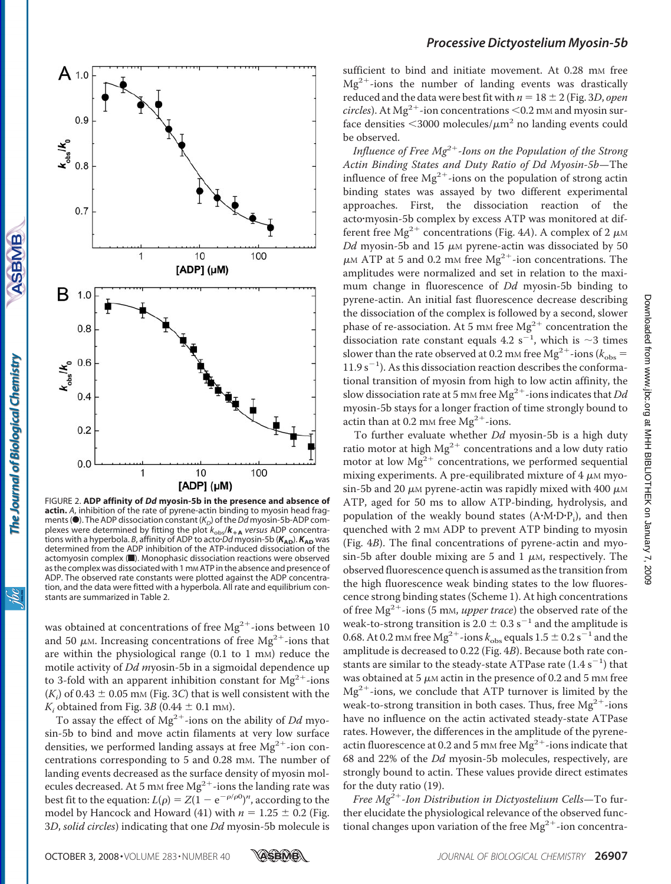

FIGURE 2. **ADP affinity of** *Dd* **myosin-5b in the presence and absence of actin.** *A*, inhibition of the rate of pyrene-actin binding to myosin head fragments (<sup>•</sup>). The ADP dissociation constant ( $K<sub>D</sub>$ ) of the *Dd* myosin-5b-ADP complexes were determined by fitting the plot  $k_{\text{obs}}/\bm{k}_{+\mathbf{A}}$  *versus* ADP concentra-<br>tions with a hyperbola. *B*, affinity of ADP to acto *Dd* myosin-5b (**K<sub>AD</sub>). K<sub>AD</sub>** was determined from the ADP inhibition of the ATP-induced dissociation of the actomyosin complex (.). Monophasic dissociation reactions were observed as the complex was dissociated with 1 mm ATP in the absence and presence of ADP. The observed rate constants were plotted against the ADP concentration, and the data were fitted with a hyperbola. All rate and equilibrium constants are summarized in Table 2.

was obtained at concentrations of free  $Mg^{2+}$ -ions between 10 and 50  $\mu$ m. Increasing concentrations of free Mg<sup>2+</sup>-ions that are within the physiological range (0.1 to 1 mm) reduce the motile activity of *Dd m*yosin-5b in a sigmoidal dependence up to 3-fold with an apparent inhibition constant for  $Mg^{2+}$ -ions  $(K_i)$  of 0.43  $\pm$  0.05 m<sub>M</sub> (Fig. 3*C*) that is well consistent with the  $K_i$  obtained from Fig. 3*B* (0.44  $\pm$  0.1 m<sub>M</sub>).

To assay the effect of Mg<sup>2+</sup>-ions on the ability of *Dd* myosin-5b to bind and move actin filaments at very low surface densities, we performed landing assays at free  $Mg^{2+}$ -ion concentrations corresponding to 5 and 0.28 mM. The number of landing events decreased as the surface density of myosin molecules decreased. At 5 mm free  $Mg^{2+}$ -ions the landing rate was best fit to the equation:  $L(\rho) = Z(1 - e^{-\rho/\rho 0})^n$ , according to the model by Hancock and Howard (41) with  $n = 1.25 \pm 0.2$  (Fig. 3*D*, *solid circles*) indicating that one *Dd* myosin-5b molecule is

# *Processive Dictyostelium Myosin-5b*

sufficient to bind and initiate movement. At 0.28 mm free  $Mg^{2+}$ -ions the number of landing events was drastically reduced and the data were best fit with  $n = 18 \pm 2$  (Fig. 3*D*, *open* circles). At Mg<sup>2+</sup>-ion concentrations < 0.2 mm and myosin surface densities <3000 molecules/ $\mu$ m<sup>2</sup> no landing events could be observed.

*Influence of Free Mg2*-*-Ions on the Population of the Strong Actin Binding States and Duty Ratio of Dd Myosin-5b*—The influence of free  $Mg^{2+}$ -ions on the population of strong actin binding states was assayed by two different experimental approaches. First, the dissociation reaction of the acto-myosin-5b complex by excess ATP was monitored at different free  $Mg^{2+}$  concentrations (Fig. 4A). A complex of 2  $\mu$ M Dd myosin-5b and 15  $\mu$ M pyrene-actin was dissociated by 50  $\mu$ M ATP at 5 and 0.2 mM free Mg<sup>2+</sup>-ion concentrations. The amplitudes were normalized and set in relation to the maximum change in fluorescence of *Dd* myosin-5b binding to pyrene-actin. An initial fast fluorescence decrease describing the dissociation of the complex is followed by a second, slower phase of re-association. At 5 mm free  $Mg^{2+}$  concentration the dissociation rate constant equals 4.2  $s^{-1}$ , which is  $\sim$ 3 times slower than the rate observed at 0.2 mm free Mg<sup>2+</sup>-ions ( $k_{\rm obs}$  =  $11.9 s<sup>-1</sup>$ ). As this dissociation reaction describes the conformational transition of myosin from high to low actin affinity, the slow dissociation rate at 5 mm free Mg<sup>2+</sup>-ions indicates that *Dd* myosin-5b stays for a longer fraction of time strongly bound to actin than at 0.2 mm free  $Mg^{2+}$ -ions.

To further evaluate whether *Dd* myosin-5b is a high duty ratio motor at high  $Mg^{2+}$  concentrations and a low duty ratio motor at low  $Mg^{2+}$  concentrations, we performed sequential mixing experiments. A pre-equilibrated mixture of  $4~\mu$ m myosin-5b and 20  $\mu$ м pyrene-actin was rapidly mixed with 400  $\mu$ м ATP, aged for 50 ms to allow ATP-binding, hydrolysis, and population of the weakly bound states (A·M·D·P<sub>i</sub>), and then quenched with 2 mM ADP to prevent ATP binding to myosin (Fig. 4*B*). The final concentrations of pyrene-actin and myosin-5b after double mixing are 5 and 1  $\mu$ M, respectively. The observed fluorescence quench is assumed as the transition from the high fluorescence weak binding states to the low fluorescence strong binding states (Scheme 1). At high concentrations of free Mg<sup>2+</sup>-ions (5 m<sub>M</sub>, *upper trace*) the observed rate of the weak-to-strong transition is 2.0  $\pm$  0.3 s<sup>-1</sup> and the amplitude is 0.68. At 0.2 mm free Mg<sup>2+</sup>-ions  $k_{\rm obs}$  equals  $1.5 \pm$  0.2 s<sup>-1</sup> and the amplitude is decreased to 0.22 (Fig. 4*B*). Because both rate constants are similar to the steady-state ATPase rate  $(1.4 s<sup>-1</sup>)$  that was obtained at 5  $\mu$ m actin in the presence of 0.2 and 5 mm free  $Mg^{2+}$ -ions, we conclude that ATP turnover is limited by the weak-to-strong transition in both cases. Thus, free  $Mg^{2+}$ -ions have no influence on the actin activated steady-state ATPase rates. However, the differences in the amplitude of the pyreneactin fluorescence at 0.2 and 5 mm free  ${ {\rm Mg} ^{2+}}$ -ions indicate that 68 and 22% of the *Dd* myosin-5b molecules, respectively, are strongly bound to actin. These values provide direct estimates for the duty ratio (19).

*Free Mg2*-*-Ion Distribution in Dictyostelium Cells*—To further elucidate the physiological relevance of the observed functional changes upon variation of the free  $Mg^{2+}$ -ion concentra-

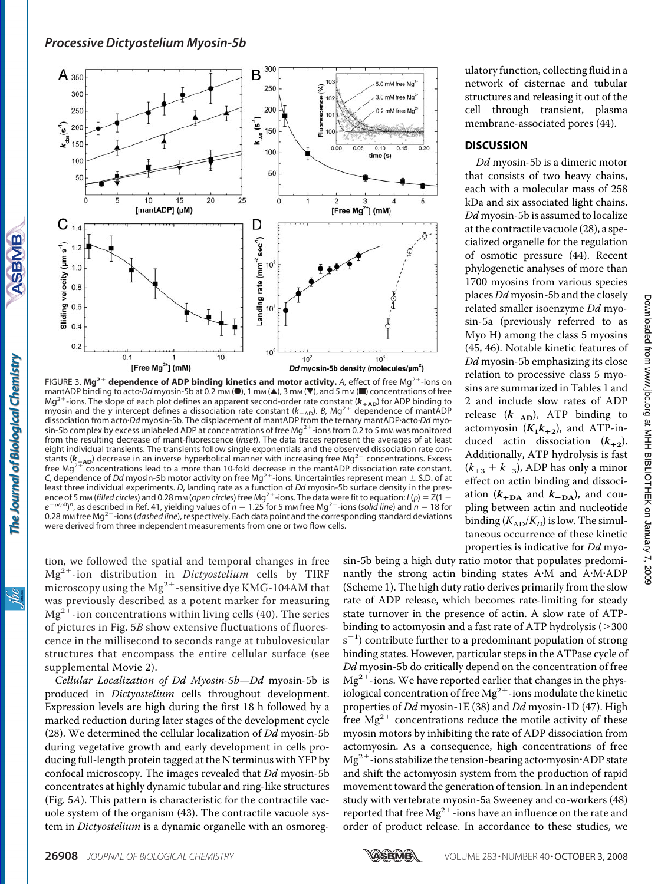

FIGURE 3. Mg<sup>2+</sup> dependence of ADP binding kinetics and motor activity. A, effect of free Mg<sup>2+</sup>-ions on mantADP binding to acto-*Dd* myosin-5b at 0.2 mm ( $\bullet$ ), 1 mm ( $\blacktriangle$ ), 3 mm ( $\blacktriangledown$ ), and 5 mm ( $\blacksquare$ ) concentrations of free Mg<sup>2+</sup>-ions. The slope of each plot defines an apparent second-order rate constant ( $k_{+AD}$ ) for ADP binding to myosin and the *y* intercept defines a dissociation rate constant  $(k_{A\text{D}})$ . B, Mg<sup>2+</sup> dependence of mantADP dissociation from acto-*Dd* myosin-5b. The displacement of mantADP from the ternary mantADP-acto-*Dd* myosin-5b complex by excess unlabeled ADP at concentrations of free Mg<sup>2+</sup>-ions from 0.2 to 5 mm was monitored from the resulting decrease of mant-fluorescence (*inset*). The data traces represent the averages of at least eight individual transients. The transients follow single exponentials and the observed dissociation rate constants ( $k_{\text{A}}$ **AD**) decrease in an inverse hyperbolical manner with increasing free Mg<sup>2+</sup> concentrations. Excess free  $Mq^{2+}$  concentrations lead to a more than 10-fold decrease in the mantADP dissociation rate constant. C, dependence of *Dd* myosin-5b motor activity on free Mg<sup>2+</sup>-ions. Uncertainties represent mean  $\pm$  S.D. of at least three individual experiments. *D*, landing rate as a function of *Dd* myosin-5b surface density in the presence of 5 mm (*filled circles*) and 0.28 mm (*open circles*) free Mg<sup>2+</sup>-ions. The data were fit to equation: *L*(p) = Z(1 –  $e^{-\rho/\rho 0}$ <sup>n</sup>, as described in Ref. 41, yielding values of  $n = 1.25$  for 5 mm free Mg<sup>2+</sup>-ions (*solid line*) and  $n = 18$  for 0.28 mm free Mg<sup>2+</sup>-ions (*dashed line*), respectively. Each data point and the corresponding standard deviations were derived from three independent measurements from one or two flow cells.

tion, we followed the spatial and temporal changes in free Mg2--ion distribution in *Dictyostelium* cells by TIRF microscopy using the  $Mg^{2+}$ -sensitive dye KMG-104AM that was previously described as a potent marker for measuring  $Mg^{2+}$ -ion concentrations within living cells (40). The series of pictures in Fig. 5*B* show extensive fluctuations of fluorescence in the millisecond to seconds range at tubulovesicular structures that encompass the entire cellular surface (see [supplemental](http://www.jbc.org/cgi/content/full/M802957200/DC1) Movie 2).

*Cellular Localization of Dd Myosin-5b*—*Dd* myosin-5b is produced in *Dictyostelium* cells throughout development. Expression levels are high during the first 18 h followed by a marked reduction during later stages of the development cycle (28). We determined the cellular localization of *Dd* myosin-5b during vegetative growth and early development in cells producing full-length protein tagged at the N terminus with YFP by confocal microscopy. The images revealed that *Dd* myosin-5b concentrates at highly dynamic tubular and ring-like structures (Fig. 5*A*). This pattern is characteristic for the contractile vacuole system of the organism (43). The contractile vacuole system in *Dictyostelium* is a dynamic organelle with an osmoregsin-5b being a high duty ratio motor that populates predominantly the strong actin binding states A·M and A·M·ADP (Scheme 1). The high duty ratio derives primarily from the slow rate of ADP release, which becomes rate-limiting for steady state turnover in the presence of actin. A slow rate of ATPbinding to actomyosin and a fast rate of ATP hydrolysis  $(>300$  $s^{-1}$ ) contribute further to a predominant population of strong binding states. However, particular steps in the ATPase cycle of *Dd* myosin-5b do critically depend on the concentration of free  $Mg^{2+}$ -ions. We have reported earlier that changes in the physiological concentration of free Mg<sup>2+</sup>-ions modulate the kinetic properties of *Dd* myosin-1E (38) and *Dd* myosin-1D (47). High free  $Mg^{2+}$  concentrations reduce the motile activity of these myosin motors by inhibiting the rate of ADP dissociation from actomyosin. As a consequence, high concentrations of free  $Mg^{2+}$ -ions stabilize the tension-bearing acto myosin ADP state and shift the actomyosin system from the production of rapid movement toward the generation of tension. In an independent study with vertebrate myosin-5a Sweeney and co-workers (48) reported that free Mg $^{2+}$ -ions have an influence on the rate and order of product release. In accordance to these studies, we

ulatory function, collecting fluid in a network of cisternae and tubular structures and releasing it out of the cell through transient, plasma membrane-associated pores (44).

#### **DISCUSSION**

*Dd* myosin-5b is a dimeric motor that consists of two heavy chains, each with a molecular mass of 258 kDa and six associated light chains. *Dd* myosin-5b is assumed to localize at the contractile vacuole (28), a specialized organelle for the regulation of osmotic pressure (44). Recent phylogenetic analyses of more than 1700 myosins from various species places *Dd* myosin-5b and the closely related smaller isoenzyme *Dd* myosin-5a (previously referred to as Myo H) among the class 5 myosins (45, 46). Notable kinetic features of *Dd* myosin-5b emphasizing its close relation to processive class 5 myosins are summarized in Tables 1 and 2 and include slow rates of ADP release  $(k_{-AD})$ , ATP binding to actomyosin  $(K_1K_{+2})$ , and ATP-induced actin dissociation  $(k_{+2})$ . Additionally, ATP hydrolysis is fast  $(k_{+3} + k_{-3})$ , ADP has only a minor effect on actin binding and dissociation  $(k_{+<sub>DA</sub>}$  and  $k_{-<sub>DA</sub>}$ , and coupling between actin and nucleotide binding  $(K_{AD}/K_D)$  is low. The simultaneous occurrence of these kinetic properties is indicative for *Dd* myo-

<u>is</u>

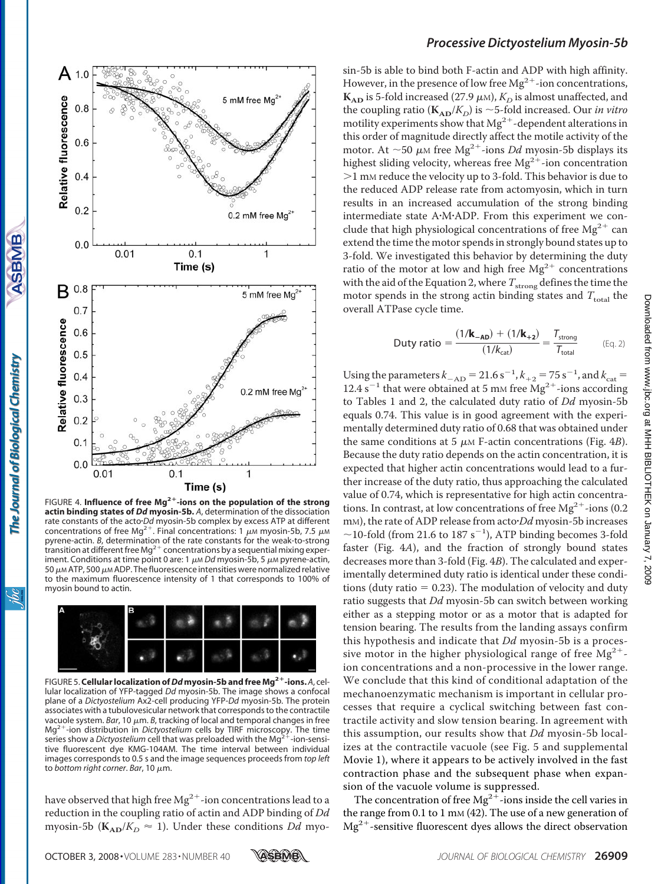

**ASBMB** 

The Journal of Biological Chemistry

FIGURE 4. **Influence of free Mg2-ions on the population of the strong actin binding states of** *Dd* **myosin-5b.** *A*, determination of the dissociation rate constants of the acto-*Dd* myosin-5b complex by excess ATP at different concentrations of free Mg<sup>2+</sup>. Final concentrations: 1  $\mu$ M myosin-5b, 7.5  $\mu$ M pyrene-actin. *B*, determination of the rate constants for the weak-to-strong  $\overline{\mathbf{r}}$  ransition at different free Mg<sup>2+</sup> concentrations by a sequential mixing experiment. Conditions at time point 0 are: 1 μM Dd myosin-5b, 5 μM pyrene-actin, 50  $\mu$ M ATP, 500  $\mu$ M ADP. The fluorescence intensities were normalized relative to the maximum fluorescence intensity of 1 that corresponds to 100% of myosin bound to actin.



FIGURE 5.**Cellular localization of***Dd* **myosin-5b and free Mg2-ions.** *A*, cellular localization of YFP-tagged *Dd* myosin-5b. The image shows a confocal plane of a *Dictyostelium* Ax2-cell producing YFP-*Dd* myosin-5b. The protein associates with a tubulovesicular network that corresponds to the contractile vacuole system. *Bar*, 10 μm. *B*, tracking of local and temporal changes in free Mg2--ion distribution in *Dictyostelium* cells by TIRF microscopy. The time series show a *Dictyostelium* cell that was preloaded with the Mg<sup>24</sup>-ion-sensitive fluorescent dye KMG-104AM. The time interval between individual images corresponds to 0.5 s and the image sequences proceeds from *top left* to *bottom right corner*. *Bar*, 10 μm.

have observed that high free Mg $^{2+}$ -ion concentrations lead to a reduction in the coupling ratio of actin and ADP binding of *Dd* myosin-5b ( $K_{AD}/K_D \approx 1$ ). Under these conditions *Dd* myo-

# *Processive Dictyostelium Myosin-5b*

sin-5b is able to bind both F-actin and ADP with high affinity. However, in the presence of low free  $Mg^{2+}$ -ion concentrations,  $\mathbf{K_{AD}}$  is 5-fold increased (27.9  $\mu$ m),  $K_D$  is almost unaffected, and the coupling ratio ( $K_{AD}/K_D$ ) is ~5-fold increased. Our *in vitro* motility experiments show that  $Mg^{2+}$ -dependent alterations in this order of magnitude directly affect the motile activity of the motor. At  $\sim$ 50  $\mu$ M free Mg<sup>2+</sup>-ions *Dd* myosin-5b displays its highest sliding velocity, whereas free  $Mg^{2+}$ -ion concentration 1 mM reduce the velocity up to 3-fold. This behavior is due to the reduced ADP release rate from actomyosin, which in turn results in an increased accumulation of the strong binding intermediate state A-M-ADP. From this experiment we conclude that high physiological concentrations of free  $Mg^{2+}$  can extend the time the motor spends in strongly bound states up to 3-fold. We investigated this behavior by determining the duty ratio of the motor at low and high free  $Mg^{2+}$  concentrations with the aid of the Equation 2, where  $T_{\text{strong}}$  defines the time the motor spends in the strong actin binding states and  $T_{total}$  the overall ATPase cycle time.

$$
\text{Duty ratio} = \frac{(1/\mathbf{k}_{-AD}) + (1/\mathbf{k}_{+2})}{(1/k_{cat})} = \frac{T_{strong}}{T_{total}}
$$
 (Eq. 2)

Using the parameters  $k_{\rm -AD} = 21.6$  s<sup>-1</sup>,  $k_{\rm +2} = 75$  s<sup>-1</sup>, and  $k_{\rm cat} =$  $12.4$  s<sup>-1</sup> that were obtained at 5 mm free Mg<sup>2+</sup>-ions according to Tables 1 and 2, the calculated duty ratio of *Dd* myosin-5b equals 0.74. This value is in good agreement with the experimentally determined duty ratio of 0.68 that was obtained under the same conditions at  $5 \mu M$  F-actin concentrations (Fig. 4*B*). Because the duty ratio depends on the actin concentration, it is expected that higher actin concentrations would lead to a further increase of the duty ratio, thus approaching the calculated value of 0.74, which is representative for high actin concentrations. In contrast, at low concentrations of free  $Mg^{2+}$ -ions (0.2 mM), the rate of ADP release from acto-*Dd* myosin-5b increases  $\sim$  10-fold (from 21.6 to 187 s<sup>-1</sup>), ATP binding becomes 3-fold faster (Fig. 4*A*), and the fraction of strongly bound states decreases more than 3-fold (Fig. 4*B*). The calculated and experimentally determined duty ratio is identical under these conditions (duty ratio  $= 0.23$ ). The modulation of velocity and duty ratio suggests that *Dd* myosin-5b can switch between working either as a stepping motor or as a motor that is adapted for tension bearing. The results from the landing assays confirm this hypothesis and indicate that *Dd* myosin-5b is a processive motor in the higher physiological range of free  $Mg^{2+}$ ion concentrations and a non-processive in the lower range. We conclude that this kind of conditional adaptation of the mechanoenzymatic mechanism is important in cellular processes that require a cyclical switching between fast contractile activity and slow tension bearing. In agreement with this assumption, our results show that *Dd* myosin-5b localizes at the contractile vacuole (see Fig. 5 and [supplemental](http://www.jbc.org/cgi/content/full/M802957200/DC1) Movie 1), where it appears to be actively involved in the fast contraction phase and the subsequent phase when expansion of the vacuole volume is suppressed.

The concentration of free  $Mg^{2+}$ -ions inside the cell varies in the range from 0.1 to 1 mm (42). The use of a new generation of  $Mg^{2+}$ -sensitive fluorescent dyes allows the direct observation